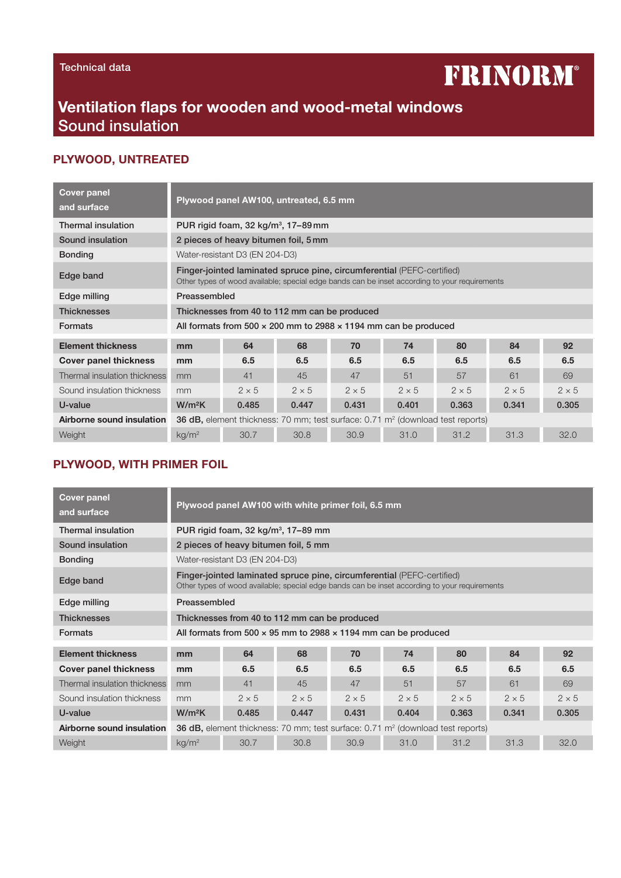#### Technical data

# **FRINORM®**

## Ventilation flaps for wooden and wood-metal windows Sound insulation

#### PLYWOOD, UNTREATED

| <b>Cover panel</b><br>and surface | Plywood panel AW100, untreated, 6.5 mm                                                                                                                                  |              |              |              |              |              |              |              |  |
|-----------------------------------|-------------------------------------------------------------------------------------------------------------------------------------------------------------------------|--------------|--------------|--------------|--------------|--------------|--------------|--------------|--|
| Thermal insulation                | PUR rigid foam, 32 kg/m <sup>3</sup> , 17-89 mm                                                                                                                         |              |              |              |              |              |              |              |  |
| Sound insulation                  | 2 pieces of heavy bitumen foil, 5 mm                                                                                                                                    |              |              |              |              |              |              |              |  |
| <b>Bonding</b>                    | Water-resistant D3 (EN 204-D3)                                                                                                                                          |              |              |              |              |              |              |              |  |
| Edge band                         | Finger-jointed laminated spruce pine, circumferential (PEFC-certified)<br>Other types of wood available; special edge bands can be inset according to your requirements |              |              |              |              |              |              |              |  |
| Edge milling                      | Preassembled                                                                                                                                                            |              |              |              |              |              |              |              |  |
| <b>Thicknesses</b>                | Thicknesses from 40 to 112 mm can be produced                                                                                                                           |              |              |              |              |              |              |              |  |
| <b>Formats</b>                    | All formats from 500 $\times$ 200 mm to 2988 $\times$ 1194 mm can be produced                                                                                           |              |              |              |              |              |              |              |  |
| <b>Element thickness</b>          | mm                                                                                                                                                                      | 64           | 68           | 70           | 74           | 80           | 84           | 92           |  |
| <b>Cover panel thickness</b>      | mm                                                                                                                                                                      | 6.5          | 6.5          | 6.5          | 6.5          | 6.5          | 6.5          | 6.5          |  |
| Thermal insulation thickness      | mm                                                                                                                                                                      | 41           | 45           | 47           | 51           | 57           | 61           | 69           |  |
| Sound insulation thickness        | mm                                                                                                                                                                      | $2 \times 5$ | $2 \times 5$ | $2 \times 5$ | $2 \times 5$ | $2 \times 5$ | $2 \times 5$ | $2 \times 5$ |  |
| U-value                           | $W/m^2K$                                                                                                                                                                | 0.485        | 0.447        | 0.431        | 0.401        | 0.363        | 0.341        | 0.305        |  |
| Airborne sound insulation         | <b>36 dB,</b> element thickness: 70 mm; test surface: 0.71 m <sup>2</sup> (download test reports)                                                                       |              |              |              |              |              |              |              |  |
| Weight                            | kg/m <sup>2</sup>                                                                                                                                                       | 30.7         | 30.8         | 30.9         | 31.0         | 31.2         | 31.3         | 32.0         |  |

#### PLYWOOD, WITH PRIMER FOIL

| <b>Cover panel</b><br>and surface | Plywood panel AW100 with white primer foil, 6.5 mm                                                                                                                      |              |              |              |              |              |              |              |  |
|-----------------------------------|-------------------------------------------------------------------------------------------------------------------------------------------------------------------------|--------------|--------------|--------------|--------------|--------------|--------------|--------------|--|
| <b>Thermal insulation</b>         | PUR rigid foam, $32 \text{ kg/m}^3$ , 17–89 mm                                                                                                                          |              |              |              |              |              |              |              |  |
| Sound insulation                  | 2 pieces of heavy bitumen foil, 5 mm                                                                                                                                    |              |              |              |              |              |              |              |  |
| <b>Bonding</b>                    | Water-resistant D3 (EN 204-D3)                                                                                                                                          |              |              |              |              |              |              |              |  |
| Edge band                         | Finger-jointed laminated spruce pine, circumferential (PEFC-certified)<br>Other types of wood available; special edge bands can be inset according to your requirements |              |              |              |              |              |              |              |  |
| Edge milling                      | Preassembled                                                                                                                                                            |              |              |              |              |              |              |              |  |
| <b>Thicknesses</b>                | Thicknesses from 40 to 112 mm can be produced                                                                                                                           |              |              |              |              |              |              |              |  |
| <b>Formats</b>                    | All formats from 500 $\times$ 95 mm to 2988 $\times$ 1194 mm can be produced                                                                                            |              |              |              |              |              |              |              |  |
| <b>Element thickness</b>          | mm                                                                                                                                                                      | 64           | 68           | 70           | 74           | 80           | 84           | 92           |  |
| <b>Cover panel thickness</b>      | mm                                                                                                                                                                      | 6.5          | 6.5          | 6.5          | 6.5          | 6.5          | 6.5          | 6.5          |  |
| Thermal insulation thickness      | mm                                                                                                                                                                      | 41           | 45           | 47           | 51           | 57           | 61           | 69           |  |
| Sound insulation thickness        | mm                                                                                                                                                                      | $2 \times 5$ | $2 \times 5$ | $2 \times 5$ | $2 \times 5$ | $2 \times 5$ | $2 \times 5$ | $2 \times 5$ |  |
| U-value                           | $W/m^2K$                                                                                                                                                                | 0.485        | 0.447        | 0.431        | 0.404        | 0.363        | 0.341        | 0.305        |  |
| Airborne sound insulation         | <b>36 dB,</b> element thickness: 70 mm; test surface: 0.71 m <sup>2</sup> (download test reports)                                                                       |              |              |              |              |              |              |              |  |
| Weight                            | kg/m <sup>2</sup>                                                                                                                                                       | 30.7         | 30.8         | 30.9         | 31.0         | 31.2         | 31.3         | 32.0         |  |